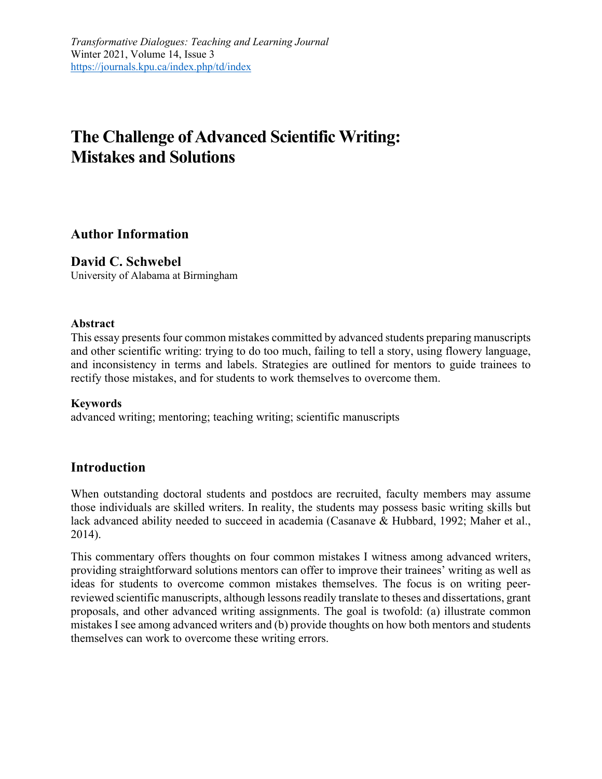# **The Challenge of Advanced Scientific Writing: Mistakes and Solutions**

### **Author Information**

### **David C. Schwebel**

University of Alabama at Birmingham

### **Abstract**

This essay presents four common mistakes committed by advanced students preparing manuscripts and other scientific writing: trying to do too much, failing to tell a story, using flowery language, and inconsistency in terms and labels. Strategies are outlined for mentors to guide trainees to rectify those mistakes, and for students to work themselves to overcome them.

### **Keywords**

advanced writing; mentoring; teaching writing; scientific manuscripts

### **Introduction**

When outstanding doctoral students and postdocs are recruited, faculty members may assume those individuals are skilled writers. In reality, the students may possess basic writing skills but lack advanced ability needed to succeed in academia (Casanave & Hubbard, 1992; Maher et al., 2014).

This commentary offers thoughts on four common mistakes I witness among advanced writers, providing straightforward solutions mentors can offer to improve their trainees' writing as well as ideas for students to overcome common mistakes themselves. The focus is on writing peerreviewed scientific manuscripts, although lessons readily translate to theses and dissertations, grant proposals, and other advanced writing assignments. The goal is twofold: (a) illustrate common mistakes I see among advanced writers and (b) provide thoughts on how both mentors and students themselves can work to overcome these writing errors.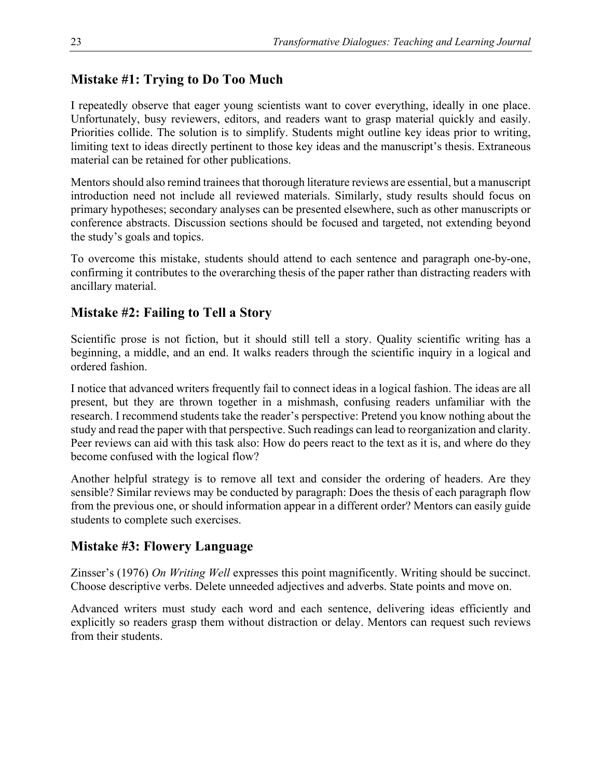# **Mistake #1: Trying to Do Too Much**

I repeatedly observe that eager young scientists want to cover everything, ideally in one place. Unfortunately, busy reviewers, editors, and readers want to grasp material quickly and easily. Priorities collide. The solution is to simplify. Students might outline key ideas prior to writing, limiting text to ideas directly pertinent to those key ideas and the manuscript's thesis. Extraneous material can be retained for other publications.

Mentors should also remind trainees that thorough literature reviews are essential, but a manuscript introduction need not include all reviewed materials. Similarly, study results should focus on primary hypotheses; secondary analyses can be presented elsewhere, such as other manuscripts or conference abstracts. Discussion sections should be focused and targeted, not extending beyond the study's goals and topics.

To overcome this mistake, students should attend to each sentence and paragraph one-by-one, confirming it contributes to the overarching thesis of the paper rather than distracting readers with ancillary material.

# **Mistake #2: Failing to Tell a Story**

Scientific prose is not fiction, but it should still tell a story. Quality scientific writing has a beginning, a middle, and an end. It walks readers through the scientific inquiry in a logical and ordered fashion.

I notice that advanced writers frequently fail to connect ideas in a logical fashion. The ideas are all present, but they are thrown together in a mishmash, confusing readers unfamiliar with the research. I recommend students take the reader's perspective: Pretend you know nothing about the study and read the paper with that perspective. Such readings can lead to reorganization and clarity. Peer reviews can aid with this task also: How do peers react to the text as it is, and where do they become confused with the logical flow?

Another helpful strategy is to remove all text and consider the ordering of headers. Are they sensible? Similar reviews may be conducted by paragraph: Does the thesis of each paragraph flow from the previous one, or should information appear in a different order? Mentors can easily guide students to complete such exercises.

# **Mistake #3: Flowery Language**

Zinsser's (1976) *On Writing Well* expresses this point magnificently. Writing should be succinct. Choose descriptive verbs. Delete unneeded adjectives and adverbs. State points and move on.

Advanced writers must study each word and each sentence, delivering ideas efficiently and explicitly so readers grasp them without distraction or delay. Mentors can request such reviews from their students.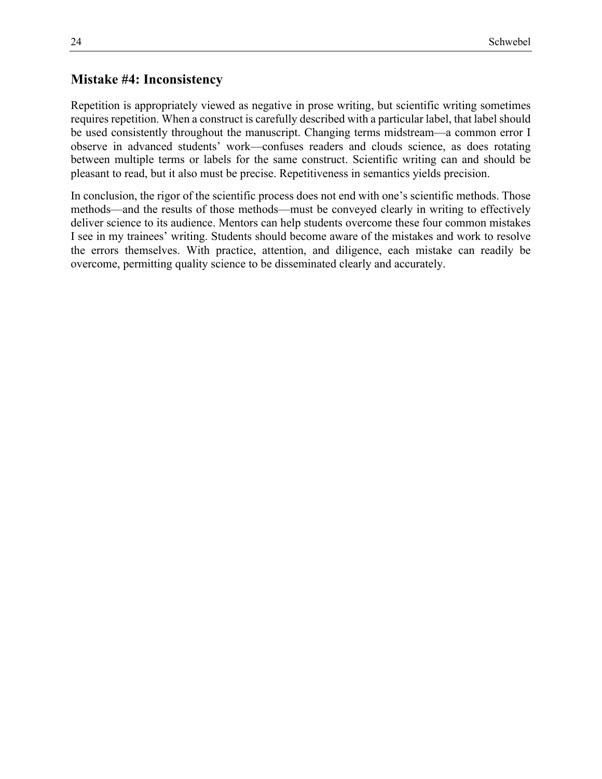### **Mistake #4: Inconsistency**

Repetition is appropriately viewed as negative in prose writing, but scientific writing sometimes requires repetition. When a construct is carefully described with a particular label, that label should be used consistently throughout the manuscript. Changing terms midstream—a common error I observe in advanced students' work—confuses readers and clouds science, as does rotating between multiple terms or labels for the same construct. Scientific writing can and should be pleasant to read, but it also must be precise. Repetitiveness in semantics yields precision.

In conclusion, the rigor of the scientific process does not end with one's scientific methods. Those methods—and the results of those methods—must be conveyed clearly in writing to effectively deliver science to its audience. Mentors can help students overcome these four common mistakes I see in my trainees' writing. Students should become aware of the mistakes and work to resolve the errors themselves. With practice, attention, and diligence, each mistake can readily be overcome, permitting quality science to be disseminated clearly and accurately.